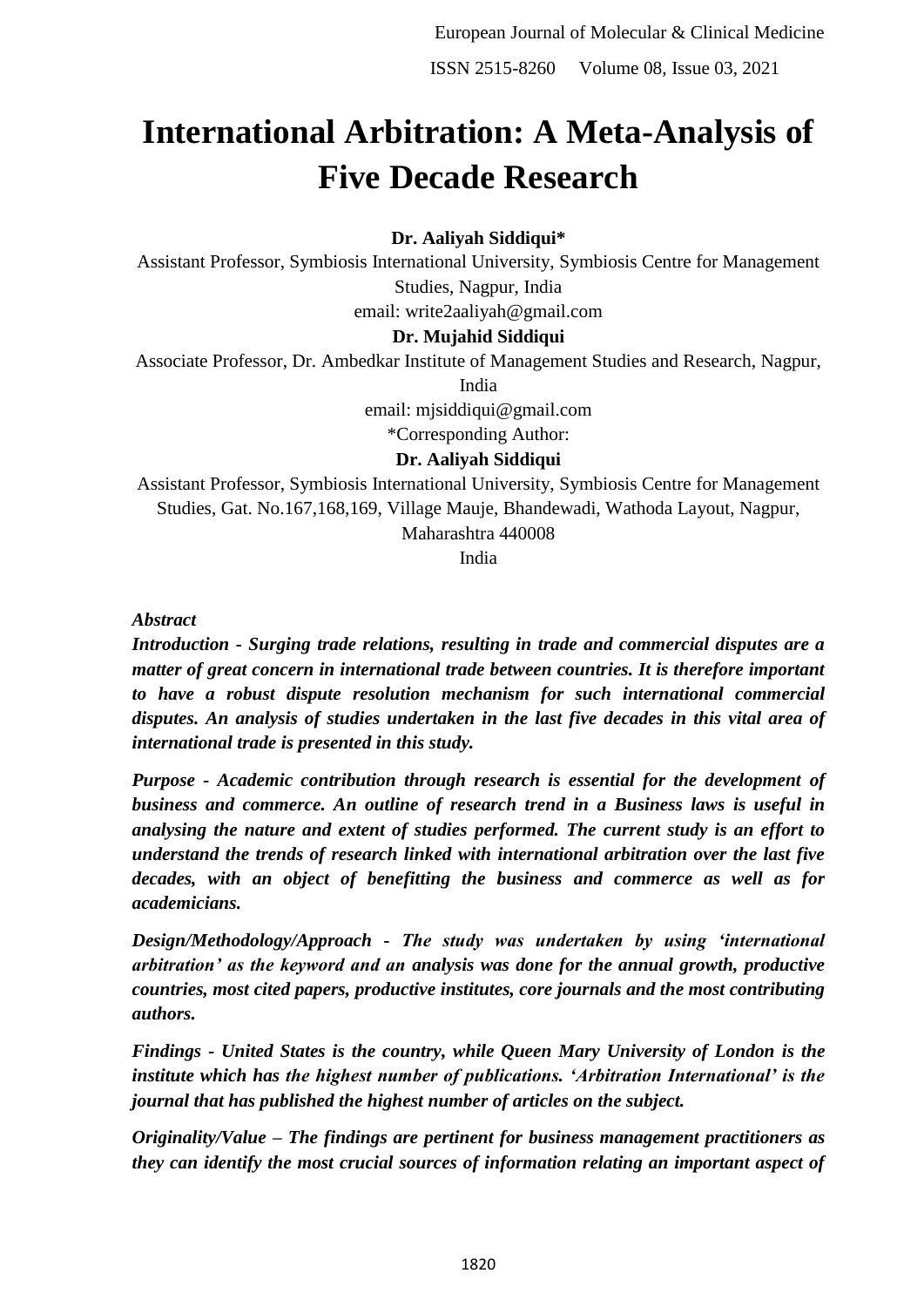# **International Arbitration: A Meta-Analysis of Five Decade Research**

**Dr. Aaliyah Siddiqui\***

Assistant Professor, Symbiosis International University, Symbiosis Centre for Management Studies, Nagpur, India

email: write2aaliyah@gmail.com

#### **Dr. Mujahid Siddiqui**

Associate Professor, Dr. Ambedkar Institute of Management Studies and Research, Nagpur,

India

email: mjsiddiqui@gmail.com

\*Corresponding Author:

## **Dr. Aaliyah Siddiqui**

Assistant Professor, Symbiosis International University, Symbiosis Centre for Management Studies, Gat. No.167,168,169, Village Mauje, Bhandewadi, Wathoda Layout, Nagpur, Maharashtra 440008

India

*Abstract*

*Introduction - Surging trade relations, resulting in trade and commercial disputes are a matter of great concern in international trade between countries. It is therefore important to have a robust dispute resolution mechanism for such international commercial disputes. An analysis of studies undertaken in the last five decades in this vital area of international trade is presented in this study.* 

*Purpose - Academic contribution through research is essential for the development of business and commerce. An outline of research trend in a Business laws is useful in analysing the nature and extent of studies performed. The current study is an effort to understand the trends of research linked with international arbitration over the last five decades, with an object of benefitting the business and commerce as well as for academicians.*

*Design/Methodology/Approach - The study was undertaken by using 'international arbitration' as the keyword and an analysis was done for the annual growth, productive countries, most cited papers, productive institutes, core journals and the most contributing authors.*

*Findings - United States is the country, while Queen Mary University of London is the institute which has the highest number of publications. 'Arbitration International' is the journal that has published the highest number of articles on the subject.*

*Originality/Value – The findings are pertinent for business management practitioners as they can identify the most crucial sources of information relating an important aspect of*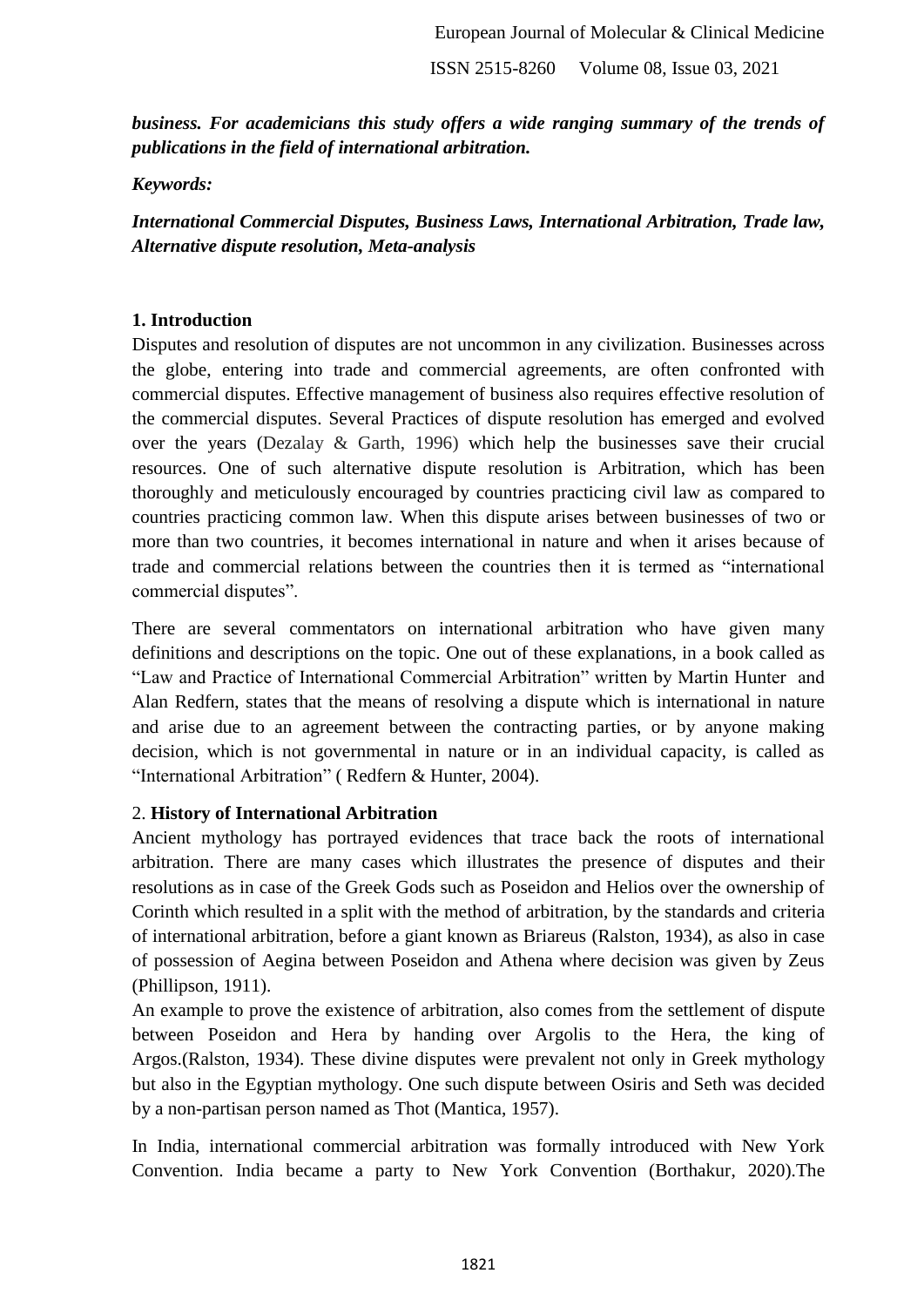*business. For academicians this study offers a wide ranging summary of the trends of publications in the field of international arbitration.*

*Keywords:* 

*International Commercial Disputes, Business Laws, International Arbitration, Trade law, Alternative dispute resolution, Meta-analysis*

#### **1. Introduction**

Disputes and resolution of disputes are not uncommon in any civilization. Businesses across the globe, entering into trade and commercial agreements, are often confronted with commercial disputes. Effective management of business also requires effective resolution of the commercial disputes. Several Practices of dispute resolution has emerged and evolved over the years (Dezalay & Garth, 1996) which help the businesses save their crucial resources. One of such alternative dispute resolution is Arbitration, which has been thoroughly and meticulously encouraged by countries practicing civil law as compared to countries practicing common law. When this dispute arises between businesses of two or more than two countries, it becomes international in nature and when it arises because of trade and commercial relations between the countries then it is termed as "international commercial disputes".

There are several commentators on international arbitration who have given many definitions and descriptions on the topic. One out of these explanations, in a book called as "Law and Practice of International Commercial Arbitration" written by Martin Hunter and Alan Redfern, states that the means of resolving a dispute which is international in nature and arise due to an agreement between the contracting parties, or by anyone making decision, which is not governmental in nature or in an individual capacity, is called as "International Arbitration" ( Redfern & Hunter, 2004).

#### 2. **History of International Arbitration**

Ancient mythology has portrayed evidences that trace back the roots of international arbitration. There are many cases which illustrates the presence of disputes and their resolutions as in case of the Greek Gods such as Poseidon and Helios over the ownership of Corinth which resulted in a split with the method of arbitration, by the standards and criteria of international arbitration, before a giant known as Briareus (Ralston, 1934), as also in case of possession of Aegina between Poseidon and Athena where decision was given by Zeus (Phillipson, 1911).

An example to prove the existence of arbitration, also comes from the settlement of dispute between Poseidon and Hera by handing over Argolis to the Hera, the king of Argos.(Ralston, 1934). These divine disputes were prevalent not only in Greek mythology but also in the Egyptian mythology. One such dispute between Osiris and Seth was decided by a non-partisan person named as Thot (Mantica, 1957).

In India, international commercial arbitration was formally introduced with New York Convention. India became a party to New York Convention (Borthakur, 2020).The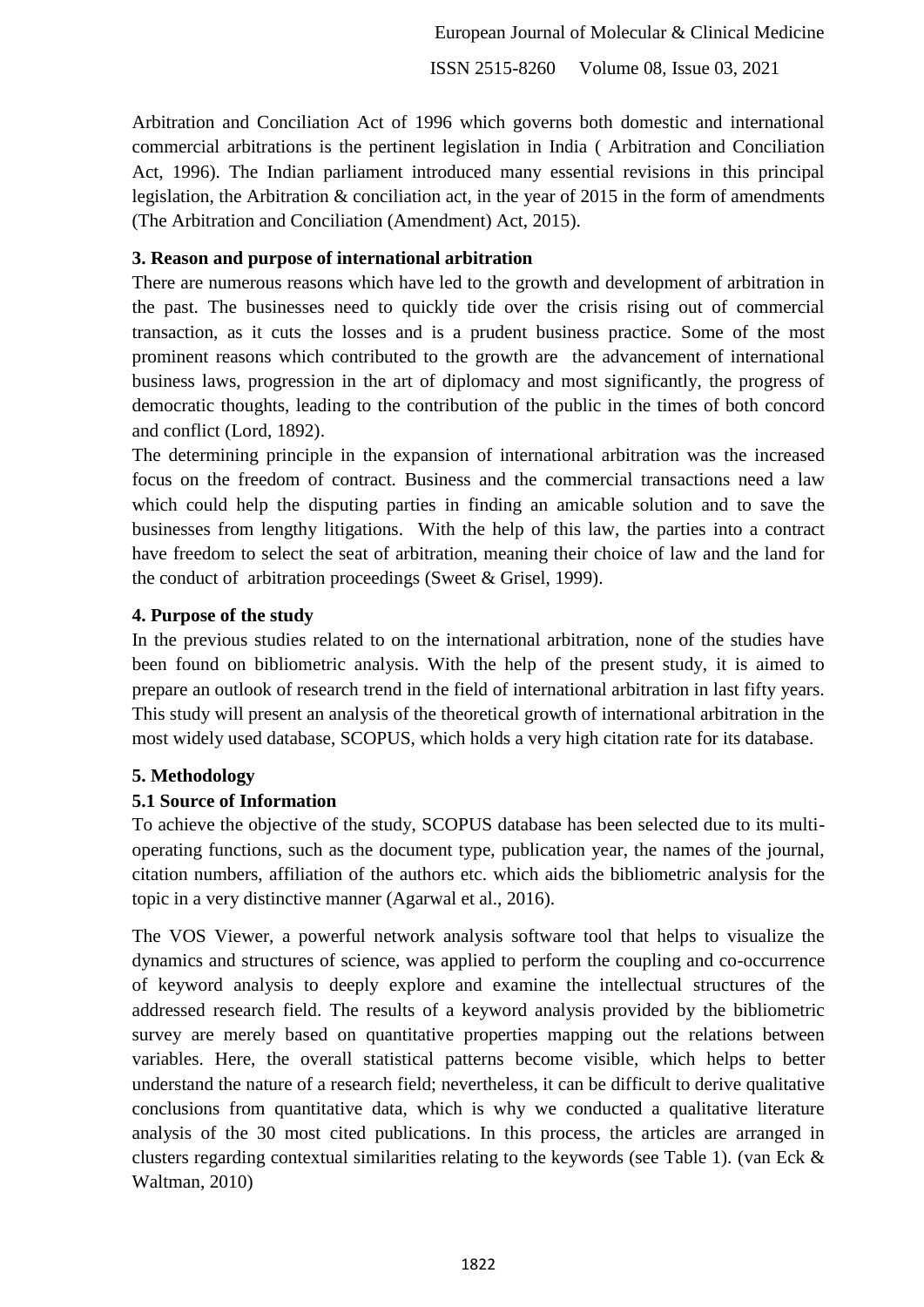Arbitration and Conciliation Act of 1996 which governs both domestic and international commercial arbitrations is the pertinent legislation in India ( Arbitration and Conciliation Act, 1996). The Indian parliament introduced many essential revisions in this principal legislation, the Arbitration & conciliation act, in the year of 2015 in the form of amendments (The Arbitration and Conciliation (Amendment) Act, 2015).

## **3. Reason and purpose of international arbitration**

There are numerous reasons which have led to the growth and development of arbitration in the past. The businesses need to quickly tide over the crisis rising out of commercial transaction, as it cuts the losses and is a prudent business practice. Some of the most prominent reasons which contributed to the growth are the advancement of international business laws, progression in the art of diplomacy and most significantly, the progress of democratic thoughts, leading to the contribution of the public in the times of both concord and conflict (Lord, 1892).

The determining principle in the expansion of international arbitration was the increased focus on the freedom of contract. Business and the commercial transactions need a law which could help the disputing parties in finding an amicable solution and to save the businesses from lengthy litigations. With the help of this law, the parties into a contract have freedom to select the seat of arbitration, meaning their choice of law and the land for the conduct of arbitration proceedings (Sweet & Grisel, 1999).

## **4. Purpose of the study**

In the previous studies related to on the international arbitration, none of the studies have been found on bibliometric analysis. With the help of the present study, it is aimed to prepare an outlook of research trend in the field of international arbitration in last fifty years. This study will present an analysis of the theoretical growth of international arbitration in the most widely used database, SCOPUS, which holds a very high citation rate for its database.

## **5. Methodology**

## **5.1 Source of Information**

To achieve the objective of the study, SCOPUS database has been selected due to its multioperating functions, such as the document type, publication year, the names of the journal, citation numbers, affiliation of the authors etc. which aids the bibliometric analysis for the topic in a very distinctive manner (Agarwal et al., 2016).

The VOS Viewer, a powerful network analysis software tool that helps to visualize the dynamics and structures of science, was applied to perform the coupling and co-occurrence of keyword analysis to deeply explore and examine the intellectual structures of the addressed research field. The results of a keyword analysis provided by the bibliometric survey are merely based on quantitative properties mapping out the relations between variables. Here, the overall statistical patterns become visible, which helps to better understand the nature of a research field; nevertheless, it can be difficult to derive qualitative conclusions from quantitative data, which is why we conducted a qualitative literature analysis of the 30 most cited publications. In this process, the articles are arranged in clusters regarding contextual similarities relating to the keywords (see Table 1). (van Eck & Waltman, 2010)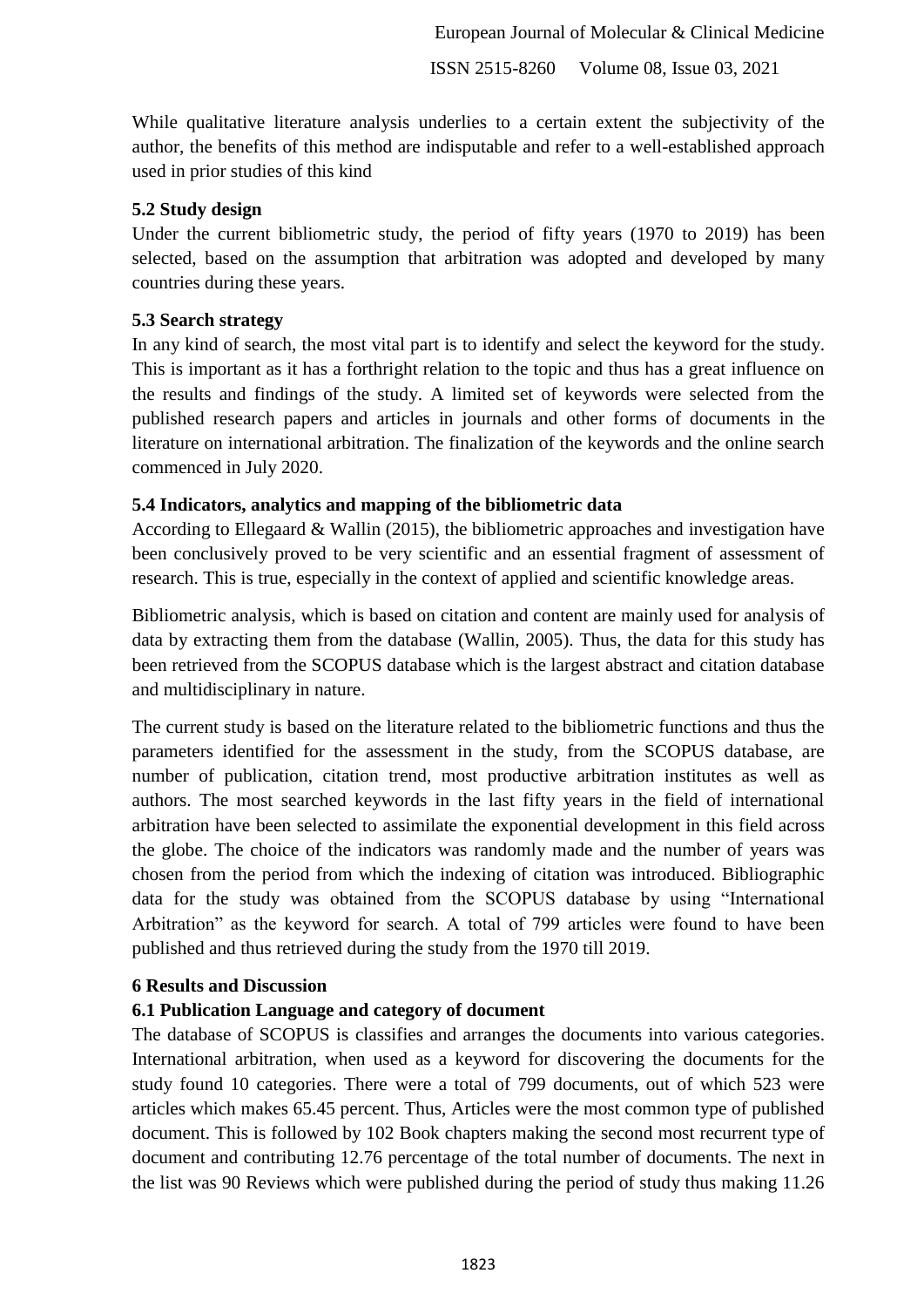While qualitative literature analysis underlies to a certain extent the subjectivity of the author, the benefits of this method are indisputable and refer to a well-established approach used in prior studies of this kind

#### **5.2 Study design**

Under the current bibliometric study, the period of fifty years (1970 to 2019) has been selected, based on the assumption that arbitration was adopted and developed by many countries during these years.

#### **5.3 Search strategy**

In any kind of search, the most vital part is to identify and select the keyword for the study. This is important as it has a forthright relation to the topic and thus has a great influence on the results and findings of the study. A limited set of keywords were selected from the published research papers and articles in journals and other forms of documents in the literature on international arbitration. The finalization of the keywords and the online search commenced in July 2020.

## **5.4 Indicators, analytics and mapping of the bibliometric data**

According to Ellegaard & Wallin (2015), the bibliometric approaches and investigation have been conclusively proved to be very scientific and an essential fragment of assessment of research. This is true, especially in the context of applied and scientific knowledge areas.

Bibliometric analysis, which is based on citation and content are mainly used for analysis of data by extracting them from the database (Wallin, 2005). Thus, the data for this study has been retrieved from the SCOPUS database which is the largest abstract and citation database and multidisciplinary in nature.

The current study is based on the literature related to the bibliometric functions and thus the parameters identified for the assessment in the study, from the SCOPUS database, are number of publication, citation trend, most productive arbitration institutes as well as authors. The most searched keywords in the last fifty years in the field of international arbitration have been selected to assimilate the exponential development in this field across the globe. The choice of the indicators was randomly made and the number of years was chosen from the period from which the indexing of citation was introduced. Bibliographic data for the study was obtained from the SCOPUS database by using "International Arbitration" as the keyword for search. A total of 799 articles were found to have been published and thus retrieved during the study from the 1970 till 2019.

## **6 Results and Discussion**

## **6.1 Publication Language and category of document**

The database of SCOPUS is classifies and arranges the documents into various categories. International arbitration, when used as a keyword for discovering the documents for the study found 10 categories. There were a total of 799 documents, out of which 523 were articles which makes 65.45 percent. Thus, Articles were the most common type of published document. This is followed by 102 Book chapters making the second most recurrent type of document and contributing 12.76 percentage of the total number of documents. The next in the list was 90 Reviews which were published during the period of study thus making 11.26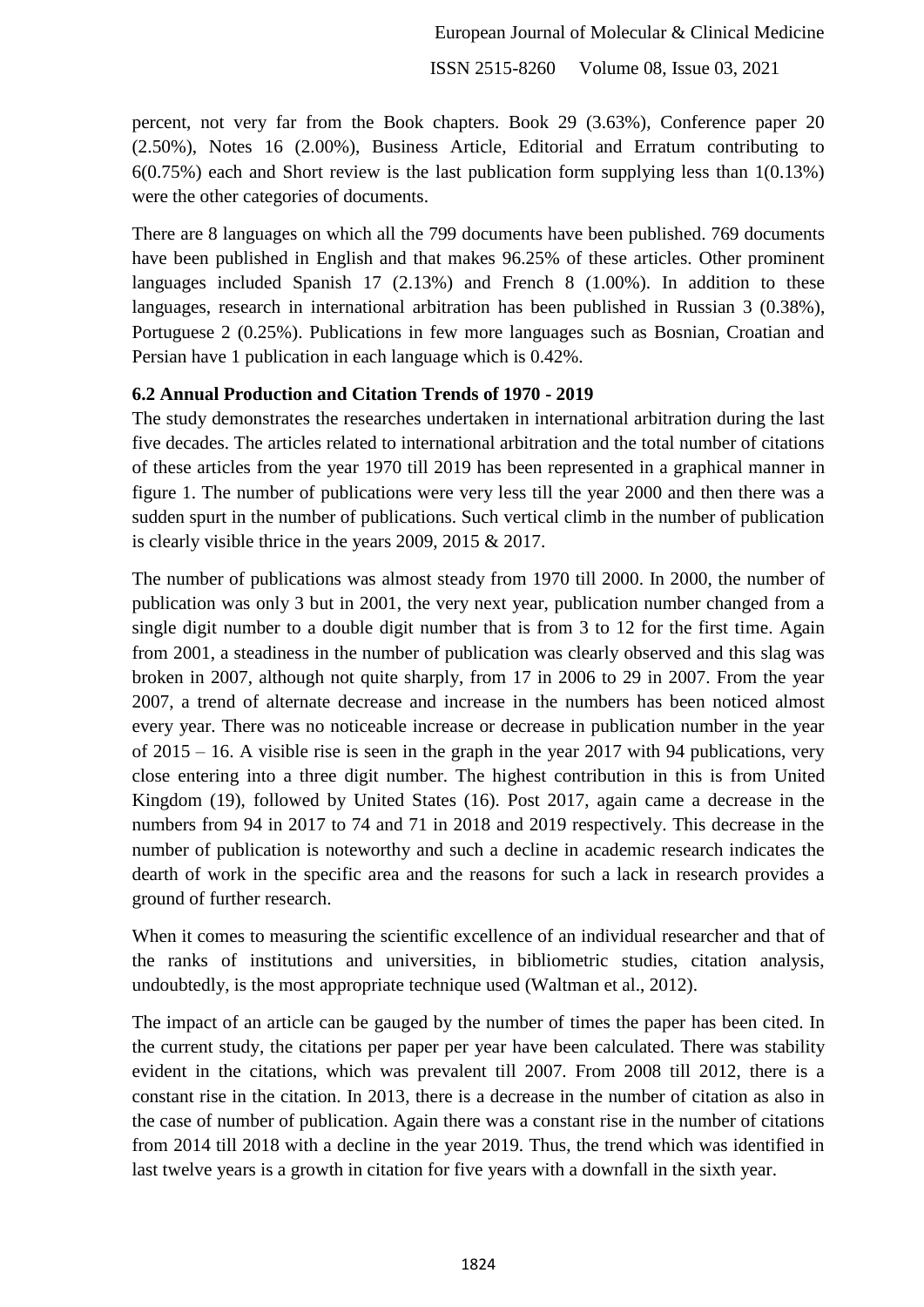percent, not very far from the Book chapters. Book 29 (3.63%), Conference paper 20 (2.50%), Notes 16 (2.00%), Business Article, Editorial and Erratum contributing to 6(0.75%) each and Short review is the last publication form supplying less than 1(0.13%) were the other categories of documents.

There are 8 languages on which all the 799 documents have been published. 769 documents have been published in English and that makes 96.25% of these articles. Other prominent languages included Spanish 17 (2.13%) and French 8 (1.00%). In addition to these languages, research in international arbitration has been published in Russian 3 (0.38%), Portuguese 2 (0.25%). Publications in few more languages such as Bosnian, Croatian and Persian have 1 publication in each language which is 0.42%.

#### **6.2 Annual Production and Citation Trends of 1970 - 2019**

The study demonstrates the researches undertaken in international arbitration during the last five decades. The articles related to international arbitration and the total number of citations of these articles from the year 1970 till 2019 has been represented in a graphical manner in figure 1. The number of publications were very less till the year 2000 and then there was a sudden spurt in the number of publications. Such vertical climb in the number of publication is clearly visible thrice in the years 2009, 2015 & 2017.

The number of publications was almost steady from 1970 till 2000. In 2000, the number of publication was only 3 but in 2001, the very next year, publication number changed from a single digit number to a double digit number that is from 3 to 12 for the first time. Again from 2001, a steadiness in the number of publication was clearly observed and this slag was broken in 2007, although not quite sharply, from 17 in 2006 to 29 in 2007. From the year 2007, a trend of alternate decrease and increase in the numbers has been noticed almost every year. There was no noticeable increase or decrease in publication number in the year of 2015 – 16. A visible rise is seen in the graph in the year 2017 with 94 publications, very close entering into a three digit number. The highest contribution in this is from United Kingdom (19), followed by United States (16). Post 2017, again came a decrease in the numbers from 94 in 2017 to 74 and 71 in 2018 and 2019 respectively. This decrease in the number of publication is noteworthy and such a decline in academic research indicates the dearth of work in the specific area and the reasons for such a lack in research provides a ground of further research.

When it comes to measuring the scientific excellence of an individual researcher and that of the ranks of institutions and universities, in bibliometric studies, citation analysis, undoubtedly, is the most appropriate technique used (Waltman et al., 2012).

The impact of an article can be gauged by the number of times the paper has been cited. In the current study, the citations per paper per year have been calculated. There was stability evident in the citations, which was prevalent till 2007. From 2008 till 2012, there is a constant rise in the citation. In 2013, there is a decrease in the number of citation as also in the case of number of publication. Again there was a constant rise in the number of citations from 2014 till 2018 with a decline in the year 2019. Thus, the trend which was identified in last twelve years is a growth in citation for five years with a downfall in the sixth year.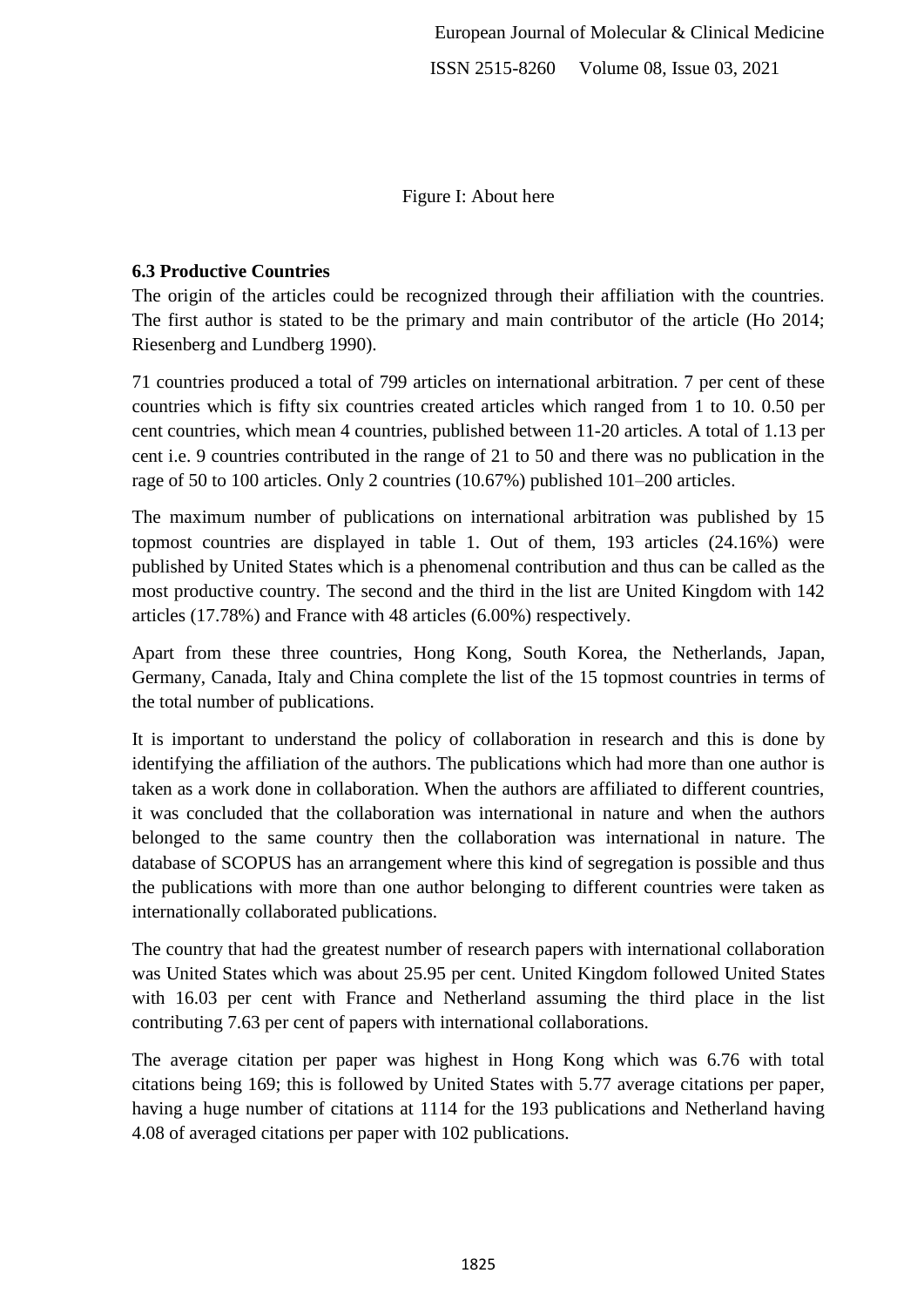Figure I: About here

# **6.3 Productive Countries**

The origin of the articles could be recognized through their affiliation with the countries. The first author is stated to be the primary and main contributor of the article (Ho 2014; Riesenberg and Lundberg 1990).

71 countries produced a total of 799 articles on international arbitration. 7 per cent of these countries which is fifty six countries created articles which ranged from 1 to 10. 0.50 per cent countries, which mean 4 countries, published between 11-20 articles. A total of 1.13 per cent i.e. 9 countries contributed in the range of 21 to 50 and there was no publication in the rage of 50 to 100 articles. Only 2 countries (10.67%) published 101–200 articles.

The maximum number of publications on international arbitration was published by 15 topmost countries are displayed in table 1. Out of them, 193 articles (24.16%) were published by United States which is a phenomenal contribution and thus can be called as the most productive country. The second and the third in the list are United Kingdom with 142 articles (17.78%) and France with 48 articles (6.00%) respectively.

Apart from these three countries, Hong Kong, South Korea, the Netherlands, Japan, Germany, Canada, Italy and China complete the list of the 15 topmost countries in terms of the total number of publications.

It is important to understand the policy of collaboration in research and this is done by identifying the affiliation of the authors. The publications which had more than one author is taken as a work done in collaboration. When the authors are affiliated to different countries, it was concluded that the collaboration was international in nature and when the authors belonged to the same country then the collaboration was international in nature. The database of SCOPUS has an arrangement where this kind of segregation is possible and thus the publications with more than one author belonging to different countries were taken as internationally collaborated publications.

The country that had the greatest number of research papers with international collaboration was United States which was about 25.95 per cent. United Kingdom followed United States with 16.03 per cent with France and Netherland assuming the third place in the list contributing 7.63 per cent of papers with international collaborations.

The average citation per paper was highest in Hong Kong which was 6.76 with total citations being 169; this is followed by United States with 5.77 average citations per paper, having a huge number of citations at 1114 for the 193 publications and Netherland having 4.08 of averaged citations per paper with 102 publications.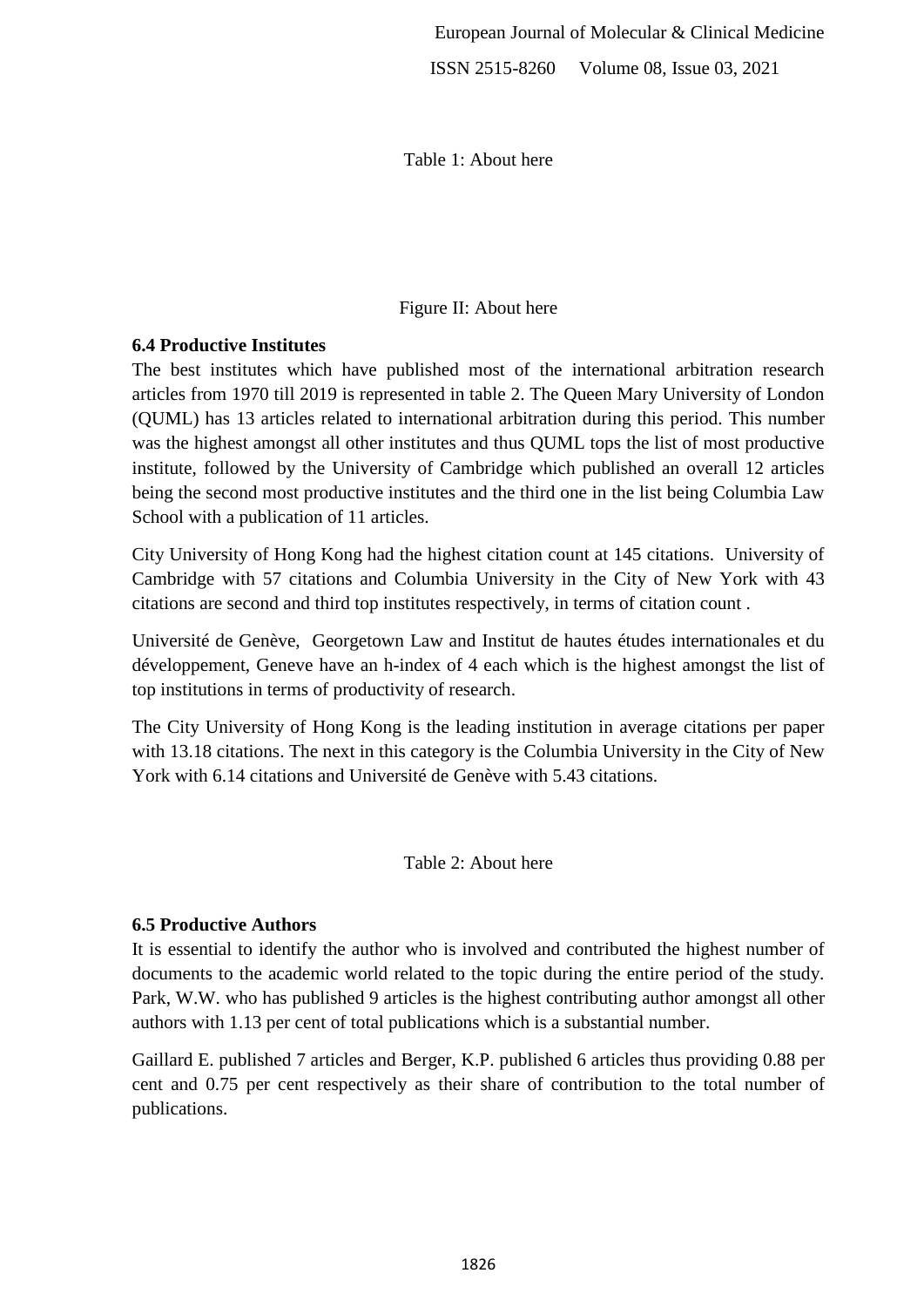Table 1: About here

## Figure II: About here

## **6.4 Productive Institutes**

The best institutes which have published most of the international arbitration research articles from 1970 till 2019 is represented in table 2. The Queen Mary University of London (QUML) has 13 articles related to international arbitration during this period. This number was the highest amongst all other institutes and thus QUML tops the list of most productive institute, followed by the University of Cambridge which published an overall 12 articles being the second most productive institutes and the third one in the list being Columbia Law School with a publication of 11 articles.

City University of Hong Kong had the highest citation count at 145 citations. University of Cambridge with 57 citations and Columbia University in the City of New York with 43 citations are second and third top institutes respectively, in terms of citation count .

Université de Genève, Georgetown Law and Institut de hautes études internationales et du développement, Geneve have an h-index of 4 each which is the highest amongst the list of top institutions in terms of productivity of research.

The City University of Hong Kong is the leading institution in average citations per paper with 13.18 citations. The next in this category is the Columbia University in the City of New York with 6.14 citations and Université de Genève with 5.43 citations.

## Table 2: About here

## **6.5 Productive Authors**

It is essential to identify the author who is involved and contributed the highest number of documents to the academic world related to the topic during the entire period of the study. Park, W.W. who has published 9 articles is the highest contributing author amongst all other authors with 1.13 per cent of total publications which is a substantial number.

Gaillard E. published 7 articles and Berger, K.P. published 6 articles thus providing 0.88 per cent and 0.75 per cent respectively as their share of contribution to the total number of publications.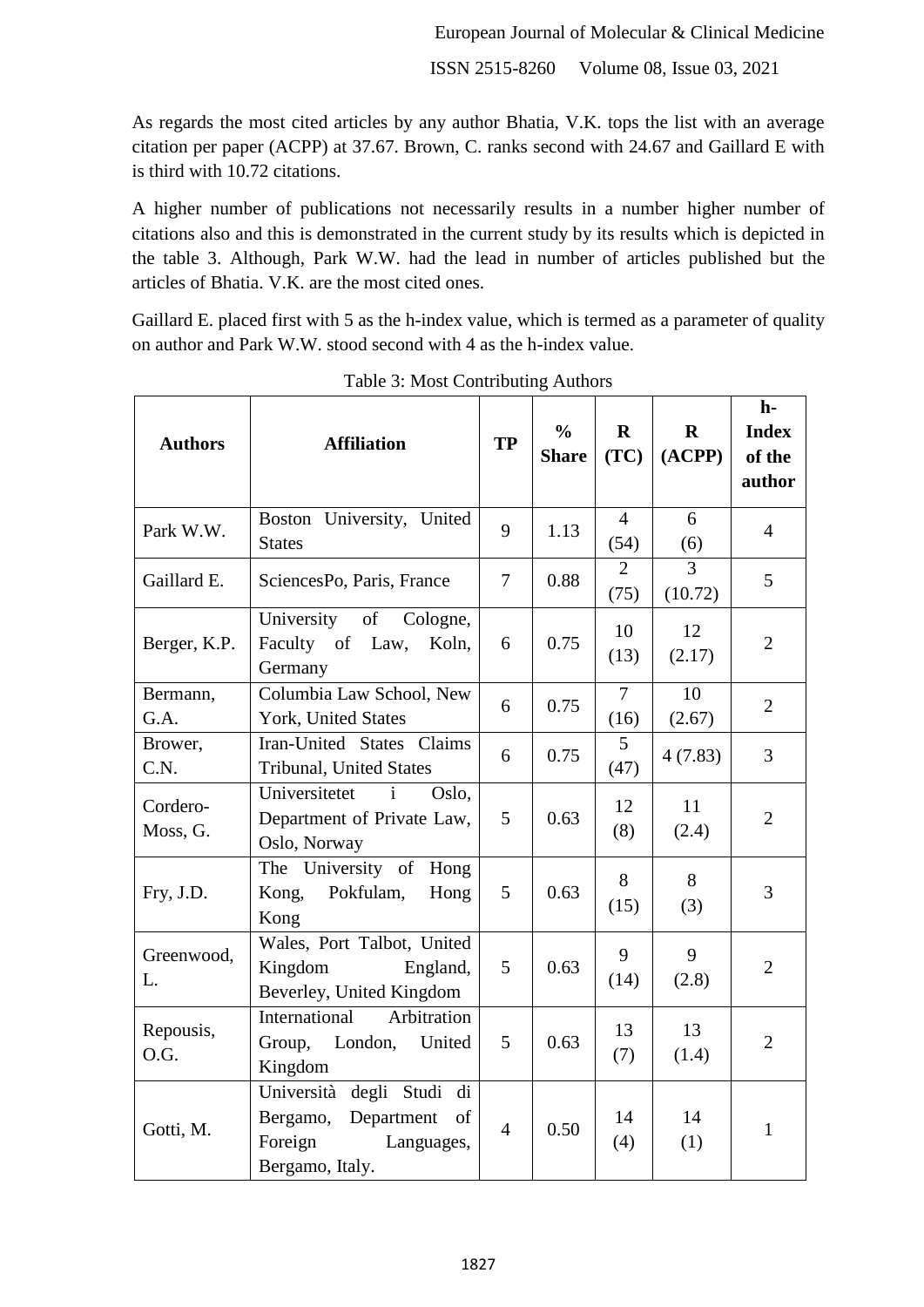As regards the most cited articles by any author Bhatia, V.K. tops the list with an average citation per paper (ACPP) at 37.67. Brown, C. ranks second with 24.67 and Gaillard E with is third with 10.72 citations.

A higher number of publications not necessarily results in a number higher number of citations also and this is demonstrated in the current study by its results which is depicted in the table 3. Although, Park W.W. had the lead in number of articles published but the articles of Bhatia. V.K. are the most cited ones.

Gaillard E. placed first with 5 as the h-index value, which is termed as a parameter of quality on author and Park W.W. stood second with 4 as the h-index value.

| <b>Authors</b>       | <b>Affiliation</b>                                                                                    | <b>TP</b>       | $\frac{6}{6}$<br><b>Share</b> | $\mathbf{R}$<br>(TC)   | $\mathbf{R}$<br>(ACPP) | $h-$<br><b>Index</b><br>of the<br>author |
|----------------------|-------------------------------------------------------------------------------------------------------|-----------------|-------------------------------|------------------------|------------------------|------------------------------------------|
| Park W.W.            | Boston University, United<br><b>States</b>                                                            | 9               | 1.13                          | $\overline{4}$<br>(54) | 6<br>(6)               | $\overline{4}$                           |
| Gaillard E.          | SciencesPo, Paris, France                                                                             | $\overline{7}$  | 0.88                          | $\overline{2}$<br>(75) | 3<br>(10.72)           | 5                                        |
| Berger, K.P.         | University of<br>Cologne,<br>Faculty of Law,<br>Koln,<br>Germany                                      | 6               | 0.75                          | 10<br>(13)             | 12<br>(2.17)           | $\overline{2}$                           |
| Bermann,<br>G.A.     | Columbia Law School, New<br>York, United States                                                       | 6               | 0.75                          | $\overline{7}$<br>(16) | 10<br>(2.67)           | $\overline{2}$                           |
| Brower,<br>C.N.      | Iran-United States Claims<br>Tribunal, United States                                                  | 6               | 0.75                          | 5<br>(47)              | 4(7.83)                | 3                                        |
| Cordero-<br>Moss, G. | Universitetet<br>$\mathbf{i}$<br>Oslo,<br>Department of Private Law,<br>Oslo, Norway                  | 5               | 0.63                          | 12<br>(8)              | 11<br>(2.4)            | $\overline{2}$                           |
| Fry, J.D.            | The University of Hong<br>Pokfulam,<br>Kong,<br>Hong<br>Kong                                          | $5\overline{)}$ | 0.63                          | 8<br>(15)              | 8<br>(3)               | 3                                        |
| Greenwood,<br>L.     | Wales, Port Talbot, United<br>Kingdom<br>England,<br>Beverley, United Kingdom                         | 5               | 0.63                          | 9<br>(14)              | 9<br>(2.8)             | $\overline{2}$                           |
| Repousis,<br>O.G.    | Arbitration<br>International<br>London,<br>Group,<br>United<br>Kingdom                                | $5\overline{)}$ | 0.63                          | 13<br>(7)              | 13<br>(1.4)            | $\overline{2}$                           |
| Gotti, M.            | Università degli Studi di<br>Department<br>Bergamo,<br>of<br>Foreign<br>Languages,<br>Bergamo, Italy. | $\overline{4}$  | 0.50                          | 14<br>(4)              | 14<br>(1)              | $\mathbf{1}$                             |

Table 3: Most Contributing Authors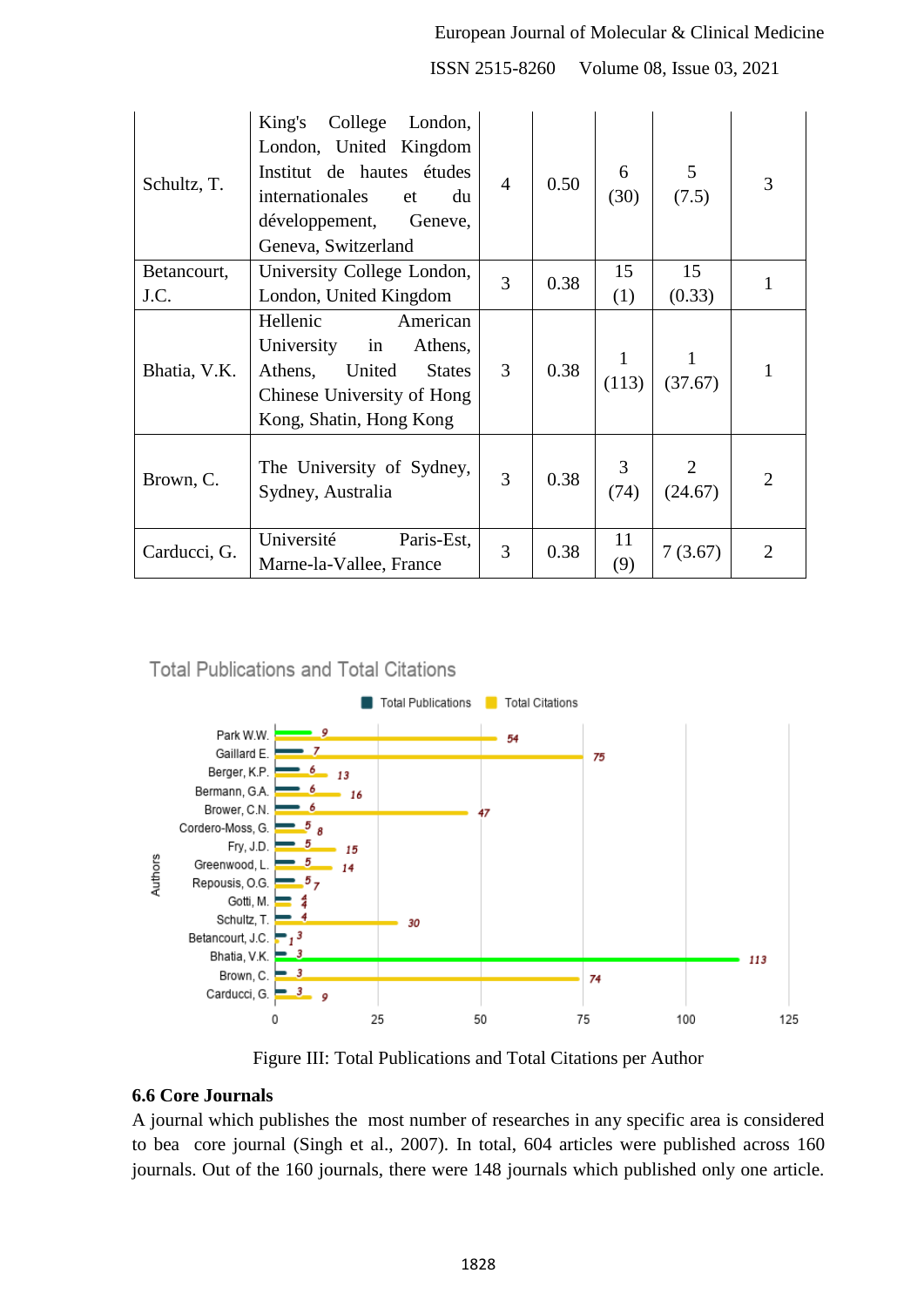#### European Journal of Molecular & Clinical Medicine

ISSN 2515-8260 Volume 08, Issue 03, 2021

| Schultz, T.  | King's College<br>London,<br>London, United Kingdom<br>Institut de hautes études<br>internationales<br>du<br>et<br>développement, Geneve,<br>Geneva, Switzerland | $\overline{4}$ | 0.50 | 6<br>(30)              | 5 <sup>5</sup><br>(7.5) | 3              |
|--------------|------------------------------------------------------------------------------------------------------------------------------------------------------------------|----------------|------|------------------------|-------------------------|----------------|
| Betancourt,  | University College London,                                                                                                                                       | 3              | 0.38 | 15                     | 15                      | $\mathbf{1}$   |
| J.C.         | London, United Kingdom                                                                                                                                           |                |      | (1)                    | (0.33)                  |                |
| Bhatia, V.K. | Hellenic<br>American<br>University<br>in<br>Athens,<br>United<br>Athens,<br><b>States</b><br>Chinese University of Hong<br>Kong, Shatin, Hong Kong               | 3              | 0.38 | $\mathbf{1}$<br>(113)  | $\bf{l}$<br>(37.67)     | 1              |
| Brown, C.    | The University of Sydney,<br>Sydney, Australia                                                                                                                   | 3              | 0.38 | 3 <sup>7</sup><br>(74) | (24.67)                 | $\overline{2}$ |
| Carducci, G. | Université<br>Paris-Est,<br>Marne-la-Vallee, France                                                                                                              | 3              | 0.38 | 11<br>(9)              | 7(3.67)                 | $\overline{2}$ |

**Total Publications and Total Citations** 



Figure III: Total Publications and Total Citations per Author

#### **6.6 Core Journals**

A journal which publishes the most number of researches in any specific area is considered to bea core journal (Singh et al., 2007). In total, 604 articles were published across 160 journals. Out of the 160 journals, there were 148 journals which published only one article.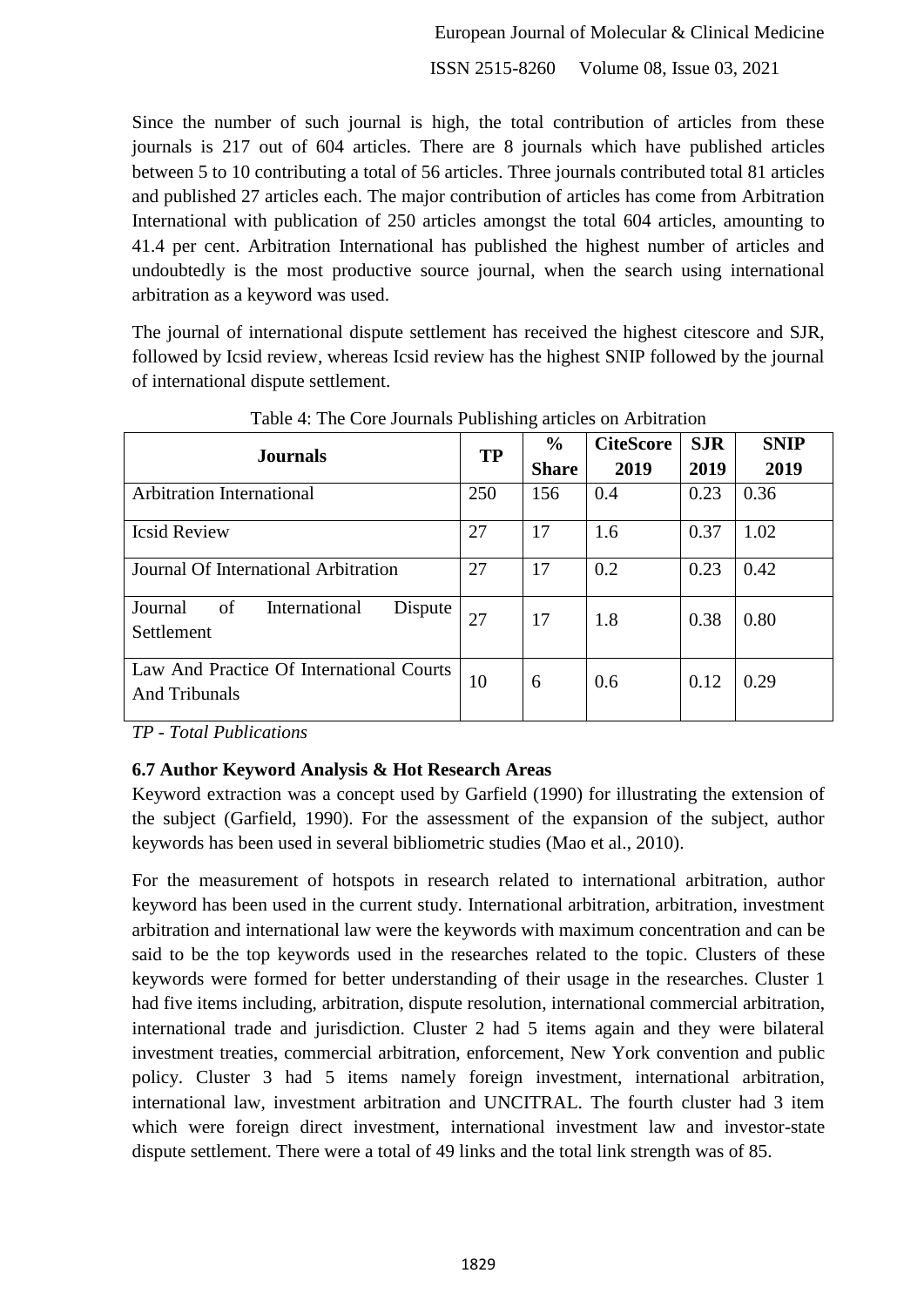Since the number of such journal is high, the total contribution of articles from these journals is 217 out of 604 articles. There are 8 journals which have published articles between 5 to 10 contributing a total of 56 articles. Three journals contributed total 81 articles and published 27 articles each. The major contribution of articles has come from Arbitration International with publication of 250 articles amongst the total 604 articles, amounting to 41.4 per cent. Arbitration International has published the highest number of articles and undoubtedly is the most productive source journal, when the search using international arbitration as a keyword was used.

The journal of international dispute settlement has received the highest citescore and SJR, followed by Icsid review, whereas Icsid review has the highest SNIP followed by the journal of international dispute settlement.

| <b>Journals</b>                                                  | <b>TP</b> | $\frac{6}{9}$ | <b>CiteScore</b> | <b>SJR</b> | <b>SNIP</b> |
|------------------------------------------------------------------|-----------|---------------|------------------|------------|-------------|
|                                                                  |           | <b>Share</b>  | 2019             | 2019       | 2019        |
| <b>Arbitration International</b>                                 | 250       | 156           | 0.4              | 0.23       | 0.36        |
| <b>Icsid Review</b>                                              | 27        | 17            | 1.6              | 0.37       | 1.02        |
| Journal Of International Arbitration                             | 27        | 17            | 0.2              | 0.23       | 0.42        |
| of<br>International<br>Dispute<br>Journal<br>Settlement          | 27        | 17            | 1.8              | 0.38       | 0.80        |
| Law And Practice Of International Courts<br><b>And Tribunals</b> | 10        | 6             | 0.6              | 0.12       | 0.29        |

Table 4: The Core Journals Publishing articles on Arbitration

*TP - Total Publications*

#### **6.7 Author Keyword Analysis & Hot Research Areas**

Keyword extraction was a concept used by Garfield (1990) for illustrating the extension of the subject (Garfield, 1990). For the assessment of the expansion of the subject, author keywords has been used in several bibliometric studies (Mao et al., 2010).

For the measurement of hotspots in research related to international arbitration, author keyword has been used in the current study. International arbitration, arbitration, investment arbitration and international law were the keywords with maximum concentration and can be said to be the top keywords used in the researches related to the topic. Clusters of these keywords were formed for better understanding of their usage in the researches. Cluster 1 had five items including, arbitration, dispute resolution, international commercial arbitration, international trade and jurisdiction. Cluster 2 had 5 items again and they were bilateral investment treaties, commercial arbitration, enforcement, New York convention and public policy. Cluster 3 had 5 items namely foreign investment, international arbitration, international law, investment arbitration and UNCITRAL. The fourth cluster had 3 item which were foreign direct investment, international investment law and investor-state dispute settlement. There were a total of 49 links and the total link strength was of 85.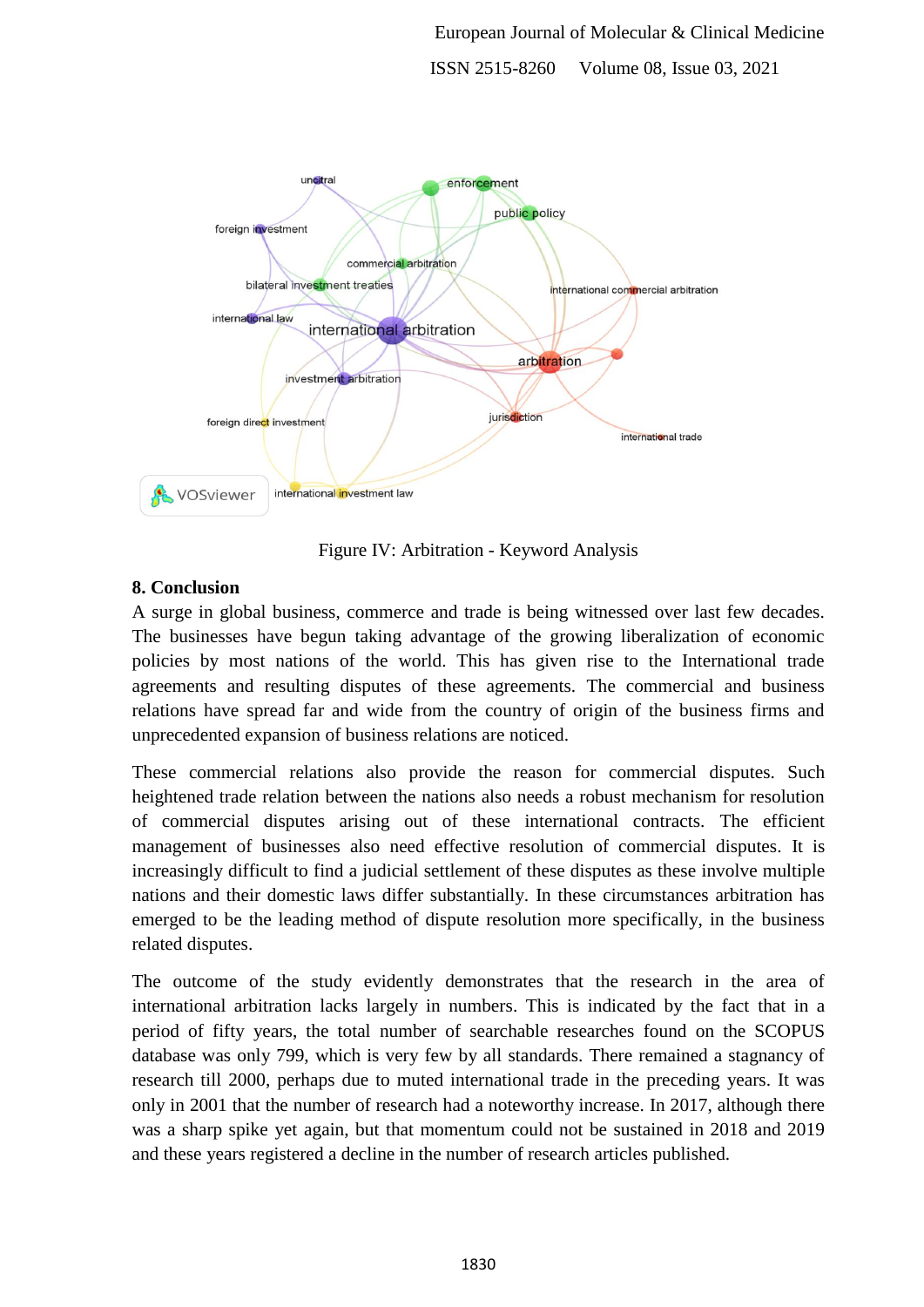

Figure IV: Arbitration - Keyword Analysis

# **8. Conclusion**

A surge in global business, commerce and trade is being witnessed over last few decades. The businesses have begun taking advantage of the growing liberalization of economic policies by most nations of the world. This has given rise to the International trade agreements and resulting disputes of these agreements. The commercial and business relations have spread far and wide from the country of origin of the business firms and unprecedented expansion of business relations are noticed.

These commercial relations also provide the reason for commercial disputes. Such heightened trade relation between the nations also needs a robust mechanism for resolution of commercial disputes arising out of these international contracts. The efficient management of businesses also need effective resolution of commercial disputes. It is increasingly difficult to find a judicial settlement of these disputes as these involve multiple nations and their domestic laws differ substantially. In these circumstances arbitration has emerged to be the leading method of dispute resolution more specifically, in the business related disputes.

The outcome of the study evidently demonstrates that the research in the area of international arbitration lacks largely in numbers. This is indicated by the fact that in a period of fifty years, the total number of searchable researches found on the SCOPUS database was only 799, which is very few by all standards. There remained a stagnancy of research till 2000, perhaps due to muted international trade in the preceding years. It was only in 2001 that the number of research had a noteworthy increase. In 2017, although there was a sharp spike yet again, but that momentum could not be sustained in 2018 and 2019 and these years registered a decline in the number of research articles published.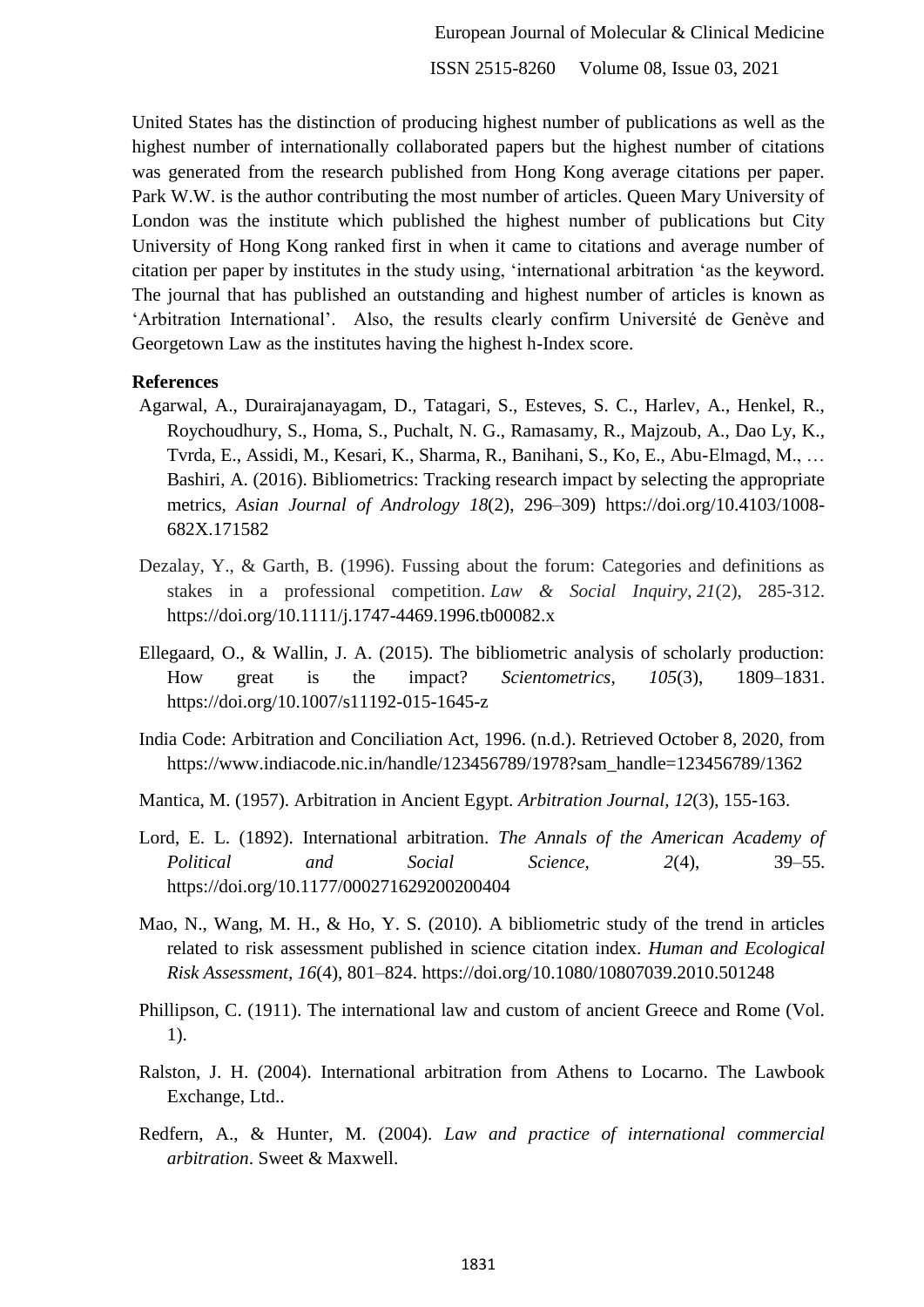United States has the distinction of producing highest number of publications as well as the highest number of internationally collaborated papers but the highest number of citations was generated from the research published from Hong Kong average citations per paper. Park W.W. is the author contributing the most number of articles. Queen Mary University of London was the institute which published the highest number of publications but City University of Hong Kong ranked first in when it came to citations and average number of citation per paper by institutes in the study using, "international arbitration "as the keyword. The journal that has published an outstanding and highest number of articles is known as "Arbitration International". Also, the results clearly confirm Université de Genève and Georgetown Law as the institutes having the highest h-Index score.

## **References**

- Agarwal, A., Durairajanayagam, D., Tatagari, S., Esteves, S. C., Harlev, A., Henkel, R., Roychoudhury, S., Homa, S., Puchalt, N. G., Ramasamy, R., Majzoub, A., Dao Ly, K., Tvrda, E., Assidi, M., Kesari, K., Sharma, R., Banihani, S., Ko, E., Abu-Elmagd, M., … Bashiri, A. (2016). Bibliometrics: Tracking research impact by selecting the appropriate metrics, *Asian Journal of Andrology 18*(2), 296–309) https://doi.org/10.4103/1008- 682X.171582
- Dezalay, Y., & Garth, B. (1996). Fussing about the forum: Categories and definitions as stakes in a professional competition. *Law & Social Inquiry*, *21*(2), 285-312. https://doi.org/10.1111/j.1747-4469.1996.tb00082.x
- Ellegaard, O., & Wallin, J. A. (2015). The bibliometric analysis of scholarly production: How great is the impact? *Scientometrics, 105*(3), 1809–1831. https://doi.org/10.1007/s11192-015-1645-z
- India Code: Arbitration and Conciliation Act, 1996. (n.d.). Retrieved October 8, 2020, from https://www.indiacode.nic.in/handle/123456789/1978?sam\_handle=123456789/1362
- Mantica, M. (1957). Arbitration in Ancient Egypt. *Arbitration Journal, 12*(3), 155-163.
- Lord, E. L. (1892). International arbitration. *The Annals of the American Academy of Political and Social Science, 2*(4), 39–55. https://doi.org/10.1177/000271629200200404
- Mao, N., Wang, M. H., & Ho, Y. S. (2010). A bibliometric study of the trend in articles related to risk assessment published in science citation index. *Human and Ecological Risk Assessment, 16*(4), 801–824. https://doi.org/10.1080/10807039.2010.501248
- Phillipson, C. (1911). The international law and custom of ancient Greece and Rome (Vol. 1).
- Ralston, J. H. (2004). International arbitration from Athens to Locarno. The Lawbook Exchange, Ltd..
- Redfern, A., & Hunter, M. (2004). *Law and practice of international commercial arbitration*. Sweet & Maxwell.